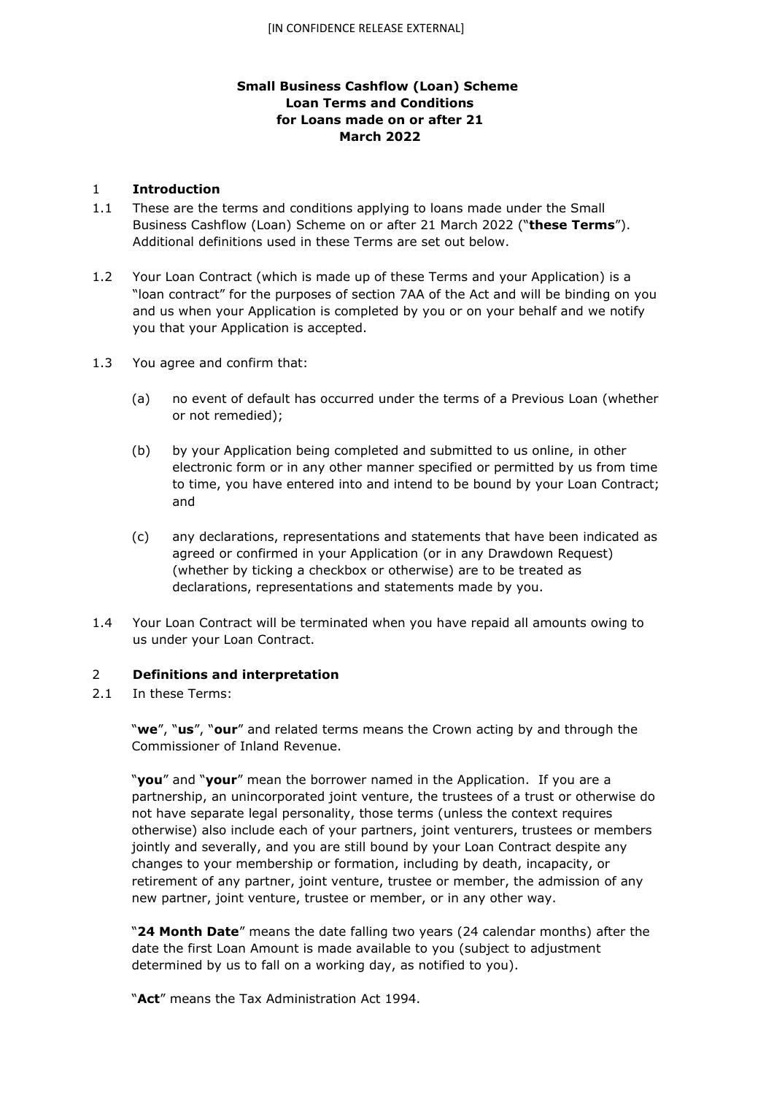# **Small Business Cashflow (Loan) Scheme Loan Terms and Conditions for Loans made on or after 21 March 2022**

#### 1 **Introduction**

- 1.1 These are the terms and conditions applying to loans made under the Small Business Cashflow (Loan) Scheme on or after 21 March 2022 ("**these Terms**"). Additional definitions used in these Terms are set out below.
- 1.2 Your Loan Contract (which is made up of these Terms and your Application) is a "loan contract" for the purposes of section 7AA of the Act and will be binding on you and us when your Application is completed by you or on your behalf and we notify you that your Application is accepted.
- 1.3 You agree and confirm that:
	- (a) no event of default has occurred under the terms of a Previous Loan (whether or not remedied);
	- (b) by your Application being completed and submitted to us online, in other electronic form or in any other manner specified or permitted by us from time to time, you have entered into and intend to be bound by your Loan Contract; and
	- (c) any declarations, representations and statements that have been indicated as agreed or confirmed in your Application (or in any Drawdown Request) (whether by ticking a checkbox or otherwise) are to be treated as declarations, representations and statements made by you.
- 1.4 Your Loan Contract will be terminated when you have repaid all amounts owing to us under your Loan Contract.

## 2 **Definitions and interpretation**

2.1 In these Terms:

"**we**", "**us**", "**our**" and related terms means the Crown acting by and through the Commissioner of Inland Revenue.

"**you**" and "**your**" mean the borrower named in the Application. If you are a partnership, an unincorporated joint venture, the trustees of a trust or otherwise do not have separate legal personality, those terms (unless the context requires otherwise) also include each of your partners, joint venturers, trustees or members jointly and severally, and you are still bound by your Loan Contract despite any changes to your membership or formation, including by death, incapacity, or retirement of any partner, joint venture, trustee or member, the admission of any new partner, joint venture, trustee or member, or in any other way.

"**24 Month Date**" means the date falling two years (24 calendar months) after the date the first Loan Amount is made available to you (subject to adjustment determined by us to fall on a working day, as notified to you).

"**Act**" means the Tax Administration Act 1994.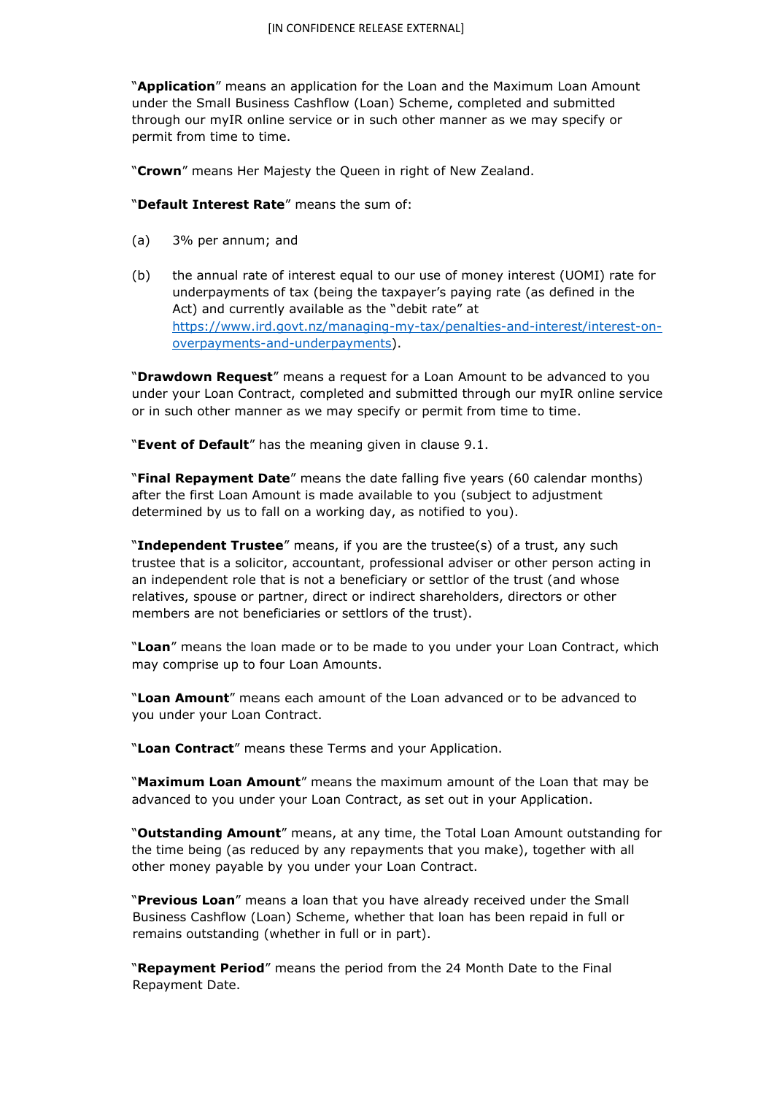"**Application**" means an application for the Loan and the Maximum Loan Amount under the Small Business Cashflow (Loan) Scheme, completed and submitted through our myIR online service or in such other manner as we may specify or permit from time to time.

"**Crown**" means Her Majesty the Queen in right of New Zealand.

"**Default Interest Rate**" means the sum of:

- (a) 3% per annum; and
- (b) the annual rate of interest equal to our use of money interest (UOMI) rate for underpayments of tax (being the taxpayer's paying rate (as defined in the Act) and currently available as the "debit rate" at [https://www.ird.govt.nz/managing-my-tax/penalties-and-interest/interest-on](https://www.ird.govt.nz/managing-my-tax/penalties-and-interest/interest-on-overpayments-and-underpayments)[overpayments-and-underpayments\).](https://www.ird.govt.nz/managing-my-tax/penalties-and-interest/interest-on-overpayments-and-underpayments)

"**Drawdown Request**" means a request for a Loan Amount to be advanced to you under your Loan Contract, completed and submitted through our myIR online service or in such other manner as we may specify or permit from time to time.

"**Event of Default**" has the meaning given in clause 9.1.

"**Final Repayment Date**" means the date falling five years (60 calendar months) after the first Loan Amount is made available to you (subject to adjustment determined by us to fall on a working day, as notified to you).

"**Independent Trustee**" means, if you are the trustee(s) of a trust, any such trustee that is a solicitor, accountant, professional adviser or other person acting in an independent role that is not a beneficiary or settlor of the trust (and whose relatives, spouse or partner, direct or indirect shareholders, directors or other members are not beneficiaries or settlors of the trust).

"**Loan**" means the loan made or to be made to you under your Loan Contract, which may comprise up to four Loan Amounts.

"**Loan Amount**" means each amount of the Loan advanced or to be advanced to you under your Loan Contract.

"**Loan Contract**" means these Terms and your Application.

"**Maximum Loan Amount**" means the maximum amount of the Loan that may be advanced to you under your Loan Contract, as set out in your Application.

"**Outstanding Amount**" means, at any time, the Total Loan Amount outstanding for the time being (as reduced by any repayments that you make), together with all other money payable by you under your Loan Contract.

"**Previous Loan**" means a loan that you have already received under the Small Business Cashflow (Loan) Scheme, whether that loan has been repaid in full or remains outstanding (whether in full or in part).

"**Repayment Period**" means the period from the 24 Month Date to the Final Repayment Date.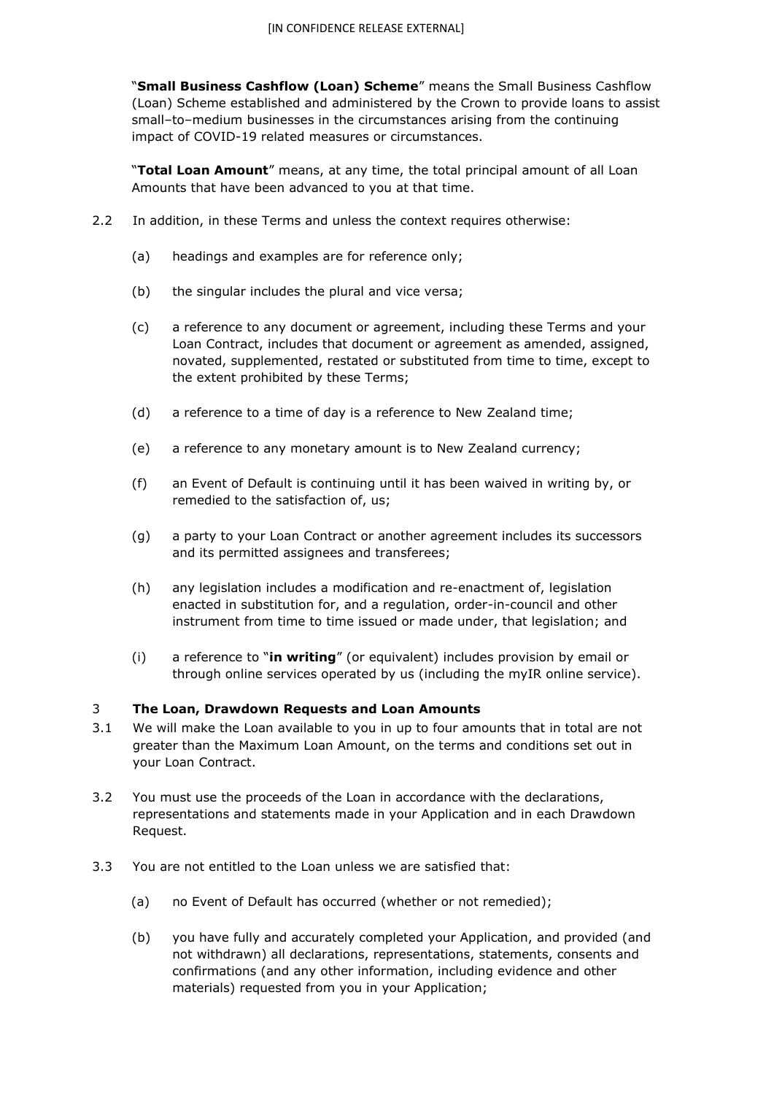"**Small Business Cashflow (Loan) Scheme**" means the Small Business Cashflow (Loan) Scheme established and administered by the Crown to provide loans to assist small–to–medium businesses in the circumstances arising from the continuing impact of COVID-19 related measures or circumstances.

"**Total Loan Amount**" means, at any time, the total principal amount of all Loan Amounts that have been advanced to you at that time.

- 2.2 In addition, in these Terms and unless the context requires otherwise:
	- (a) headings and examples are for reference only;
	- (b) the singular includes the plural and vice versa;
	- (c) a reference to any document or agreement, including these Terms and your Loan Contract, includes that document or agreement as amended, assigned, novated, supplemented, restated or substituted from time to time, except to the extent prohibited by these Terms;
	- (d) a reference to a time of day is a reference to New Zealand time;
	- (e) a reference to any monetary amount is to New Zealand currency;
	- (f) an Event of Default is continuing until it has been waived in writing by, or remedied to the satisfaction of, us;
	- (g) a party to your Loan Contract or another agreement includes its successors and its permitted assignees and transferees;
	- (h) any legislation includes a modification and re-enactment of, legislation enacted in substitution for, and a regulation, order-in-council and other instrument from time to time issued or made under, that legislation; and
	- (i) a reference to "**in writing**" (or equivalent) includes provision by email or through online services operated by us (including the myIR online service).

#### 3 **The Loan, Drawdown Requests and Loan Amounts**

- 3.1 We will make the Loan available to you in up to four amounts that in total are not greater than the Maximum Loan Amount, on the terms and conditions set out in your Loan Contract.
- 3.2 You must use the proceeds of the Loan in accordance with the declarations, representations and statements made in your Application and in each Drawdown Request.
- 3.3 You are not entitled to the Loan unless we are satisfied that:
	- (a) no Event of Default has occurred (whether or not remedied);
	- (b) you have fully and accurately completed your Application, and provided (and not withdrawn) all declarations, representations, statements, consents and confirmations (and any other information, including evidence and other materials) requested from you in your Application;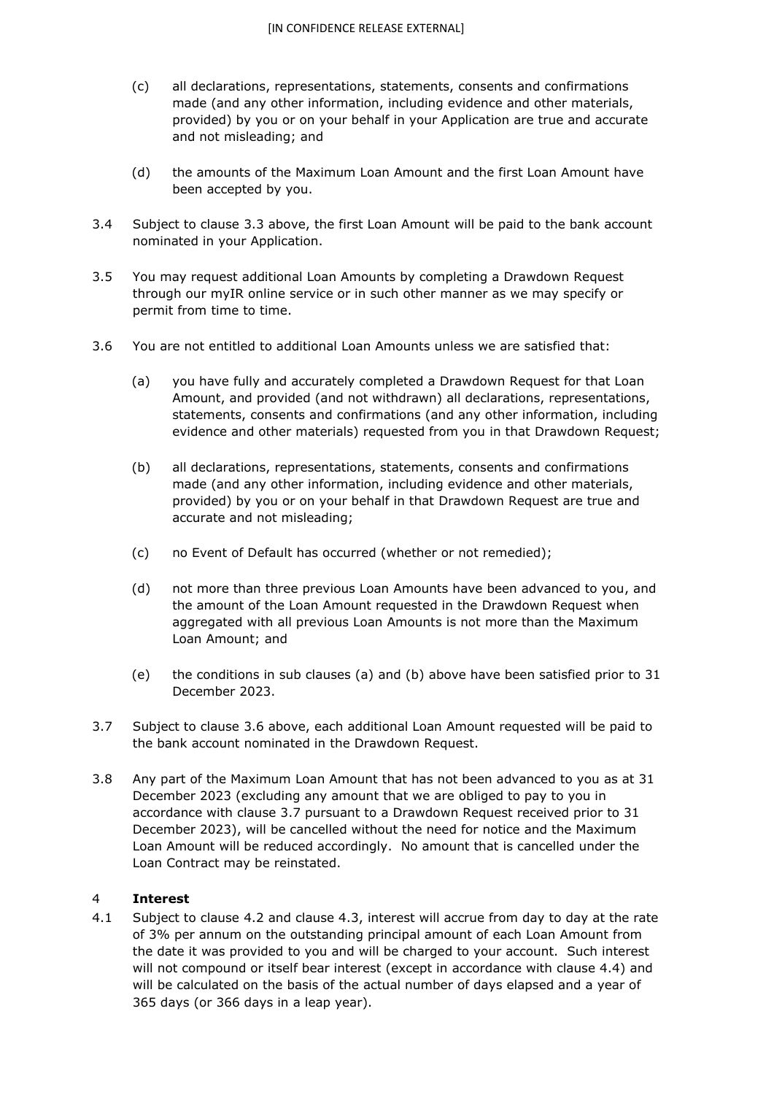- (c) all declarations, representations, statements, consents and confirmations made (and any other information, including evidence and other materials, provided) by you or on your behalf in your Application are true and accurate and not misleading; and
- (d) the amounts of the Maximum Loan Amount and the first Loan Amount have been accepted by you.
- 3.4 Subject to clause 3.3 above, the first Loan Amount will be paid to the bank account nominated in your Application.
- 3.5 You may request additional Loan Amounts by completing a Drawdown Request through our myIR online service or in such other manner as we may specify or permit from time to time.
- 3.6 You are not entitled to additional Loan Amounts unless we are satisfied that:
	- (a) you have fully and accurately completed a Drawdown Request for that Loan Amount, and provided (and not withdrawn) all declarations, representations, statements, consents and confirmations (and any other information, including evidence and other materials) requested from you in that Drawdown Request;
	- (b) all declarations, representations, statements, consents and confirmations made (and any other information, including evidence and other materials, provided) by you or on your behalf in that Drawdown Request are true and accurate and not misleading;
	- (c) no Event of Default has occurred (whether or not remedied);
	- (d) not more than three previous Loan Amounts have been advanced to you, and the amount of the Loan Amount requested in the Drawdown Request when aggregated with all previous Loan Amounts is not more than the Maximum Loan Amount; and
	- (e) the conditions in sub clauses (a) and (b) above have been satisfied prior to 31 December 2023.
- 3.7 Subject to clause 3.6 above, each additional Loan Amount requested will be paid to the bank account nominated in the Drawdown Request.
- 3.8 Any part of the Maximum Loan Amount that has not been advanced to you as at 31 December 2023 (excluding any amount that we are obliged to pay to you in accordance with clause 3.7 pursuant to a Drawdown Request received prior to 31 December 2023), will be cancelled without the need for notice and the Maximum Loan Amount will be reduced accordingly. No amount that is cancelled under the Loan Contract may be reinstated.

## 4 **Interest**

4.1 Subject to clause 4.2 and clause 4.3, interest will accrue from day to day at the rate of 3% per annum on the outstanding principal amount of each Loan Amount from the date it was provided to you and will be charged to your account. Such interest will not compound or itself bear interest (except in accordance with clause 4.4) and will be calculated on the basis of the actual number of days elapsed and a year of 365 days (or 366 days in a leap year).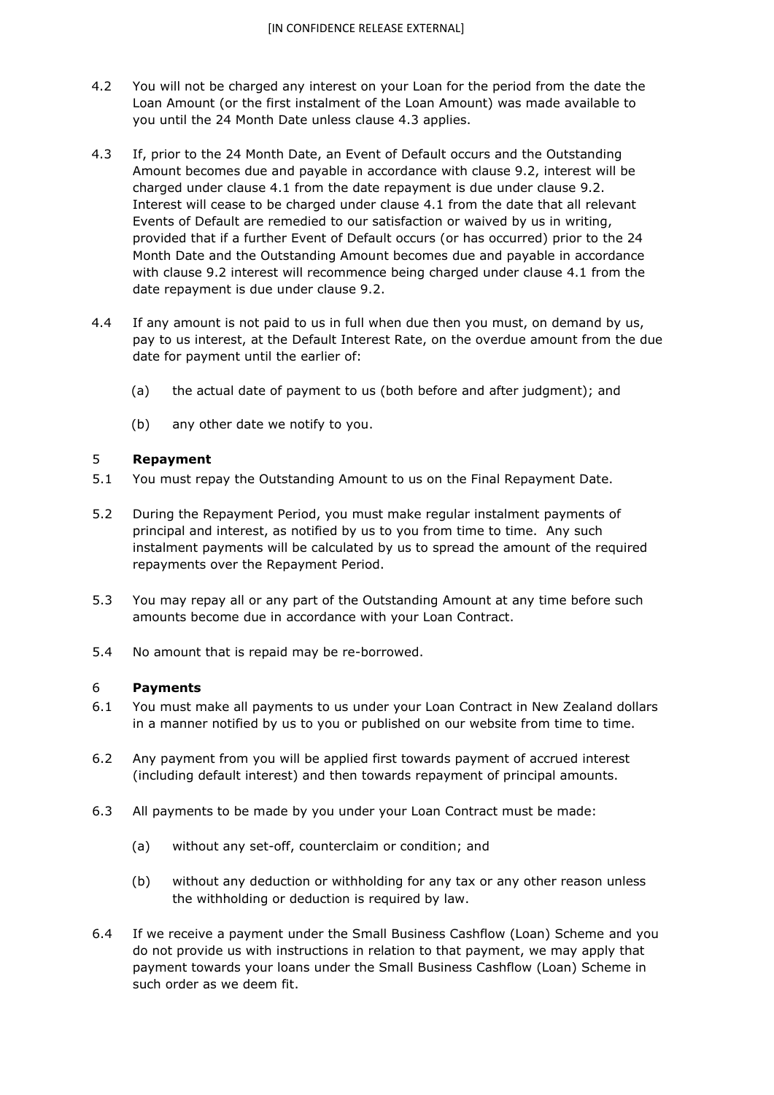- 4.2 You will not be charged any interest on your Loan for the period from the date the Loan Amount (or the first instalment of the Loan Amount) was made available to you until the 24 Month Date unless clause 4.3 applies.
- 4.3 If, prior to the 24 Month Date, an Event of Default occurs and the Outstanding Amount becomes due and payable in accordance with clause 9.2, interest will be charged under clause 4.1 from the date repayment is due under clause 9.2. Interest will cease to be charged under clause 4.1 from the date that all relevant Events of Default are remedied to our satisfaction or waived by us in writing, provided that if a further Event of Default occurs (or has occurred) prior to the 24 Month Date and the Outstanding Amount becomes due and payable in accordance with clause 9.2 interest will recommence being charged under clause 4.1 from the date repayment is due under clause 9.2.
- 4.4 If any amount is not paid to us in full when due then you must, on demand by us, pay to us interest, at the Default Interest Rate, on the overdue amount from the due date for payment until the earlier of:
	- (a) the actual date of payment to us (both before and after judgment); and
	- (b) any other date we notify to you.

#### 5 **Repayment**

- 5.1 You must repay the Outstanding Amount to us on the Final Repayment Date.
- 5.2 During the Repayment Period, you must make regular instalment payments of principal and interest, as notified by us to you from time to time. Any such instalment payments will be calculated by us to spread the amount of the required repayments over the Repayment Period.
- 5.3 You may repay all or any part of the Outstanding Amount at any time before such amounts become due in accordance with your Loan Contract.
- 5.4 No amount that is repaid may be re-borrowed.

#### 6 **Payments**

- 6.1 You must make all payments to us under your Loan Contract in New Zealand dollars in a manner notified by us to you or published on our website from time to time.
- 6.2 Any payment from you will be applied first towards payment of accrued interest (including default interest) and then towards repayment of principal amounts.
- 6.3 All payments to be made by you under your Loan Contract must be made:
	- (a) without any set-off, counterclaim or condition; and
	- (b) without any deduction or withholding for any tax or any other reason unless the withholding or deduction is required by law.
- 6.4 If we receive a payment under the Small Business Cashflow (Loan) Scheme and you do not provide us with instructions in relation to that payment, we may apply that payment towards your loans under the Small Business Cashflow (Loan) Scheme in such order as we deem fit.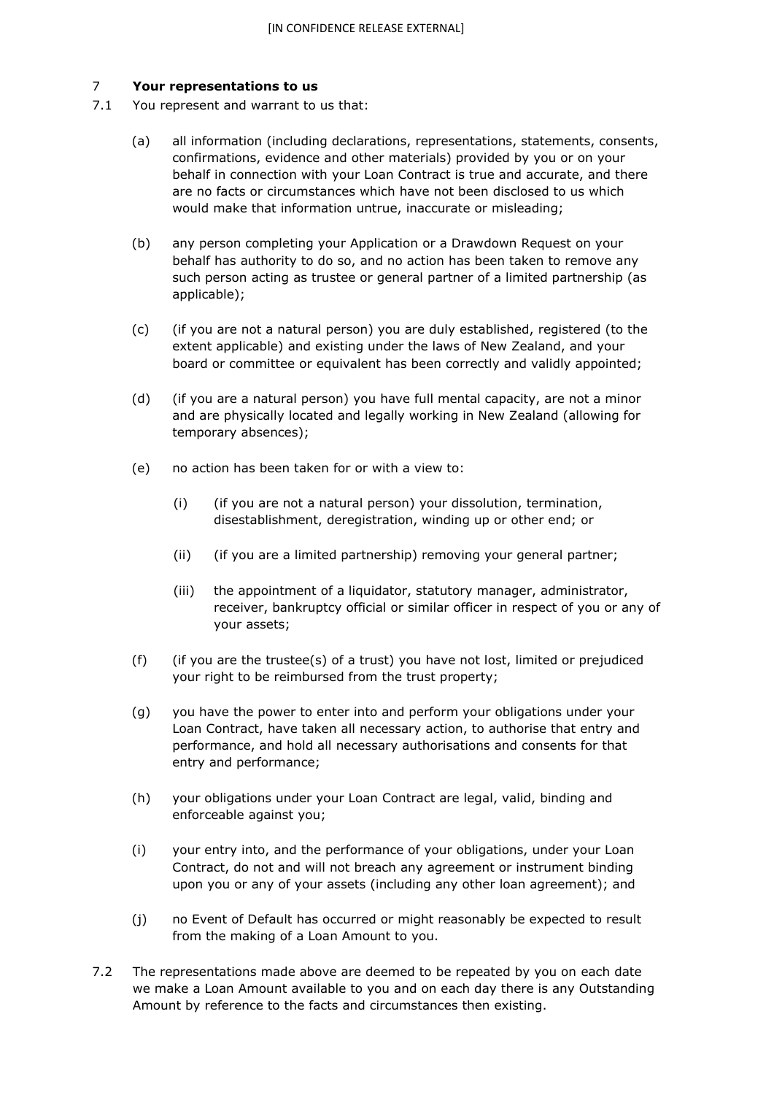## 7 **Your representations to us**

- 7.1 You represent and warrant to us that:
	- (a) all information (including declarations, representations, statements, consents, confirmations, evidence and other materials) provided by you or on your behalf in connection with your Loan Contract is true and accurate, and there are no facts or circumstances which have not been disclosed to us which would make that information untrue, inaccurate or misleading;
	- (b) any person completing your Application or a Drawdown Request on your behalf has authority to do so, and no action has been taken to remove any such person acting as trustee or general partner of a limited partnership (as applicable);
	- (c) (if you are not a natural person) you are duly established, registered (to the extent applicable) and existing under the laws of New Zealand, and your board or committee or equivalent has been correctly and validly appointed;
	- (d) (if you are a natural person) you have full mental capacity, are not a minor and are physically located and legally working in New Zealand (allowing for temporary absences);
	- (e) no action has been taken for or with a view to:
		- (i) (if you are not a natural person) your dissolution, termination, disestablishment, deregistration, winding up or other end; or
		- (ii) (if you are a limited partnership) removing your general partner;
		- (iii) the appointment of a liquidator, statutory manager, administrator, receiver, bankruptcy official or similar officer in respect of you or any of your assets;
	- (f) (if you are the trustee(s) of a trust) you have not lost, limited or prejudiced your right to be reimbursed from the trust property;
	- (g) you have the power to enter into and perform your obligations under your Loan Contract, have taken all necessary action, to authorise that entry and performance, and hold all necessary authorisations and consents for that entry and performance;
	- (h) your obligations under your Loan Contract are legal, valid, binding and enforceable against you;
	- (i) your entry into, and the performance of your obligations, under your Loan Contract, do not and will not breach any agreement or instrument binding upon you or any of your assets (including any other loan agreement); and
	- (j) no Event of Default has occurred or might reasonably be expected to result from the making of a Loan Amount to you.
- 7.2 The representations made above are deemed to be repeated by you on each date we make a Loan Amount available to you and on each day there is any Outstanding Amount by reference to the facts and circumstances then existing.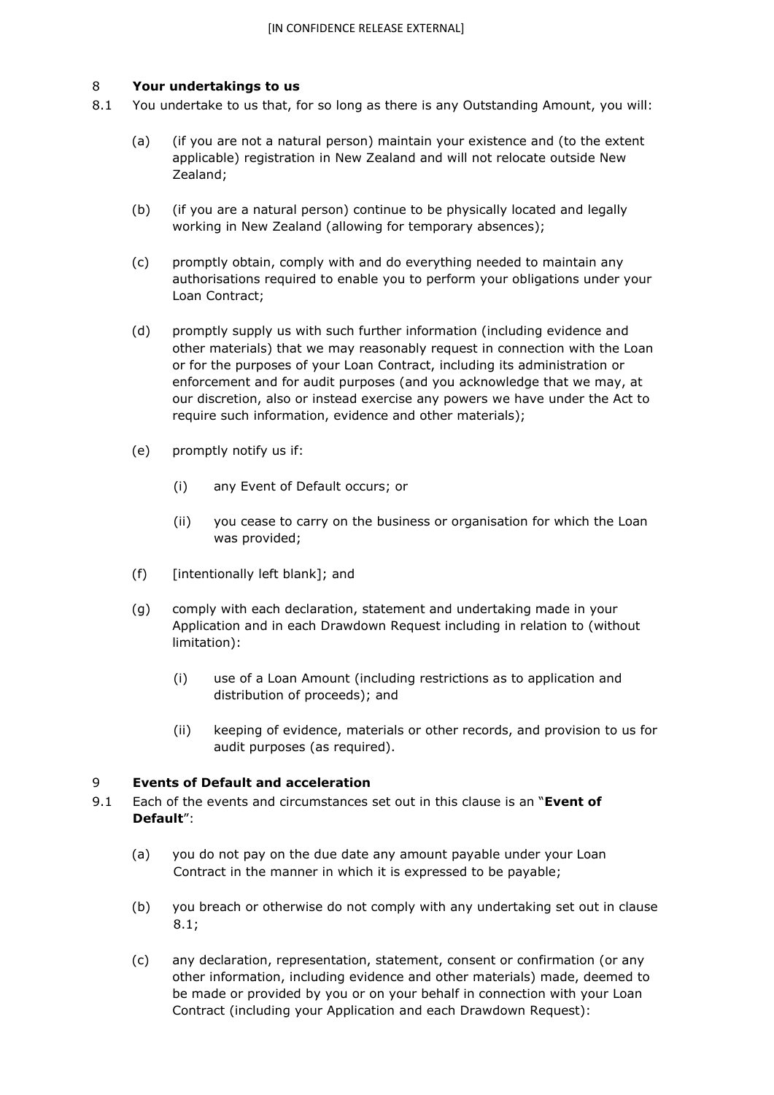## 8 **Your undertakings to us**

- 8.1 You undertake to us that, for so long as there is any Outstanding Amount, you will:
	- (a) (if you are not a natural person) maintain your existence and (to the extent applicable) registration in New Zealand and will not relocate outside New Zealand;
	- (b) (if you are a natural person) continue to be physically located and legally working in New Zealand (allowing for temporary absences);
	- (c) promptly obtain, comply with and do everything needed to maintain any authorisations required to enable you to perform your obligations under your Loan Contract;
	- (d) promptly supply us with such further information (including evidence and other materials) that we may reasonably request in connection with the Loan or for the purposes of your Loan Contract, including its administration or enforcement and for audit purposes (and you acknowledge that we may, at our discretion, also or instead exercise any powers we have under the Act to require such information, evidence and other materials);
	- (e) promptly notify us if:
		- (i) any Event of Default occurs; or
		- (ii) you cease to carry on the business or organisation for which the Loan was provided;
	- (f) [intentionally left blank]; and
	- (g) comply with each declaration, statement and undertaking made in your Application and in each Drawdown Request including in relation to (without limitation):
		- (i) use of a Loan Amount (including restrictions as to application and distribution of proceeds); and
		- (ii) keeping of evidence, materials or other records, and provision to us for audit purposes (as required).

## 9 **Events of Default and acceleration**

- 9.1 Each of the events and circumstances set out in this clause is an "**Event of Default**":
	- (a) you do not pay on the due date any amount payable under your Loan Contract in the manner in which it is expressed to be payable;
	- (b) you breach or otherwise do not comply with any undertaking set out in clause 8.1;
	- (c) any declaration, representation, statement, consent or confirmation (or any other information, including evidence and other materials) made, deemed to be made or provided by you or on your behalf in connection with your Loan Contract (including your Application and each Drawdown Request):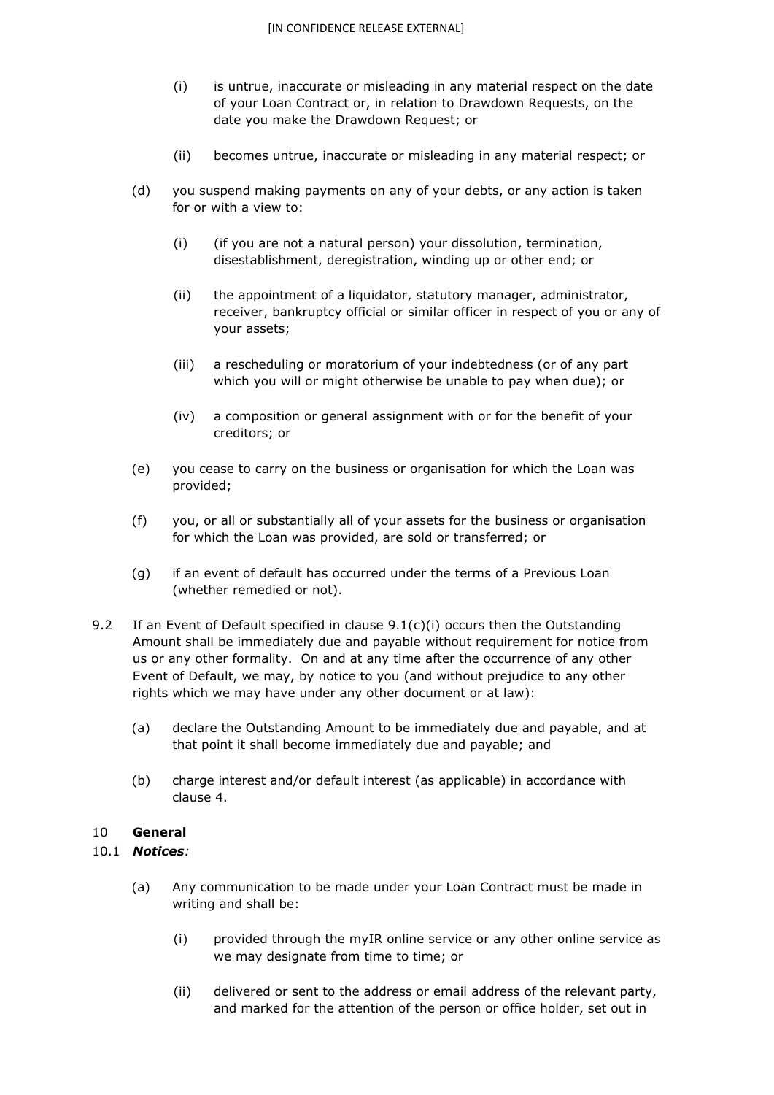- (i) is untrue, inaccurate or misleading in any material respect on the date of your Loan Contract or, in relation to Drawdown Requests, on the date you make the Drawdown Request; or
- (ii) becomes untrue, inaccurate or misleading in any material respect; or
- (d) you suspend making payments on any of your debts, or any action is taken for or with a view to:
	- (i) (if you are not a natural person) your dissolution, termination, disestablishment, deregistration, winding up or other end; or
	- (ii) the appointment of a liquidator, statutory manager, administrator, receiver, bankruptcy official or similar officer in respect of you or any of your assets;
	- (iii) a rescheduling or moratorium of your indebtedness (or of any part which you will or might otherwise be unable to pay when due); or
	- (iv) a composition or general assignment with or for the benefit of your creditors; or
- (e) you cease to carry on the business or organisation for which the Loan was provided;
- (f) you, or all or substantially all of your assets for the business or organisation for which the Loan was provided, are sold or transferred; or
- (g) if an event of default has occurred under the terms of a Previous Loan (whether remedied or not).
- 9.2 If an Event of Default specified in clause  $9.1(c)(i)$  occurs then the Outstanding Amount shall be immediately due and payable without requirement for notice from us or any other formality. On and at any time after the occurrence of any other Event of Default, we may, by notice to you (and without prejudice to any other rights which we may have under any other document or at law):
	- (a) declare the Outstanding Amount to be immediately due and payable, and at that point it shall become immediately due and payable; and
	- (b) charge interest and/or default interest (as applicable) in accordance with clause 4.

# 10 **General**

# 10.1 *Notices:*

- (a) Any communication to be made under your Loan Contract must be made in writing and shall be:
	- (i) provided through the myIR online service or any other online service as we may designate from time to time; or
	- (ii) delivered or sent to the address or email address of the relevant party, and marked for the attention of the person or office holder, set out in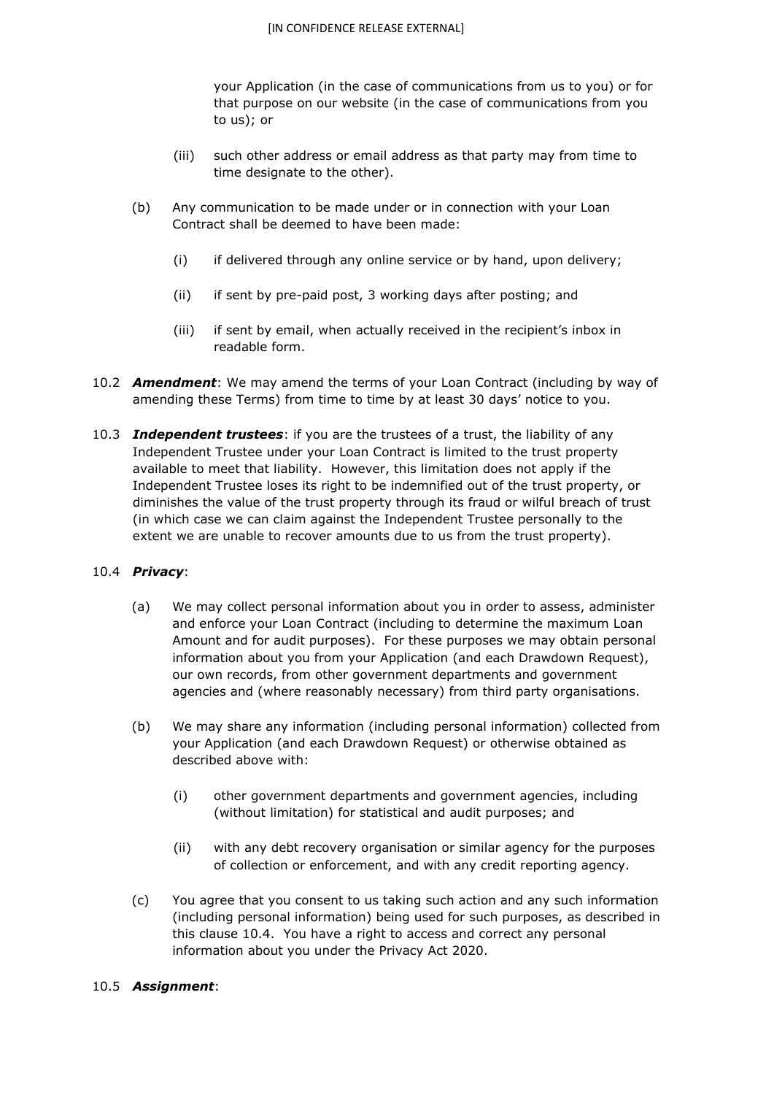your Application (in the case of communications from us to you) or for that purpose on our website (in the case of communications from you to us); or

- (iii) such other address or email address as that party may from time to time designate to the other).
- (b) Any communication to be made under or in connection with your Loan Contract shall be deemed to have been made:
	- (i) if delivered through any online service or by hand, upon delivery;
	- (ii) if sent by pre-paid post, 3 working days after posting; and
	- (iii) if sent by email, when actually received in the recipient's inbox in readable form.
- 10.2 *Amendment*: We may amend the terms of your Loan Contract (including by way of amending these Terms) from time to time by at least 30 days' notice to you.
- 10.3 *Independent trustees*: if you are the trustees of a trust, the liability of any Independent Trustee under your Loan Contract is limited to the trust property available to meet that liability. However, this limitation does not apply if the Independent Trustee loses its right to be indemnified out of the trust property, or diminishes the value of the trust property through its fraud or wilful breach of trust (in which case we can claim against the Independent Trustee personally to the extent we are unable to recover amounts due to us from the trust property).

## 10.4 *Privacy*:

- (a) We may collect personal information about you in order to assess, administer and enforce your Loan Contract (including to determine the maximum Loan Amount and for audit purposes). For these purposes we may obtain personal information about you from your Application (and each Drawdown Request), our own records, from other government departments and government agencies and (where reasonably necessary) from third party organisations.
- (b) We may share any information (including personal information) collected from your Application (and each Drawdown Request) or otherwise obtained as described above with:
	- (i) other government departments and government agencies, including (without limitation) for statistical and audit purposes; and
	- (ii) with any debt recovery organisation or similar agency for the purposes of collection or enforcement, and with any credit reporting agency.
- (c) You agree that you consent to us taking such action and any such information (including personal information) being used for such purposes, as described in this clause 10.4. You have a right to access and correct any personal information about you under the Privacy Act 2020.

## 10.5 *Assignment*: